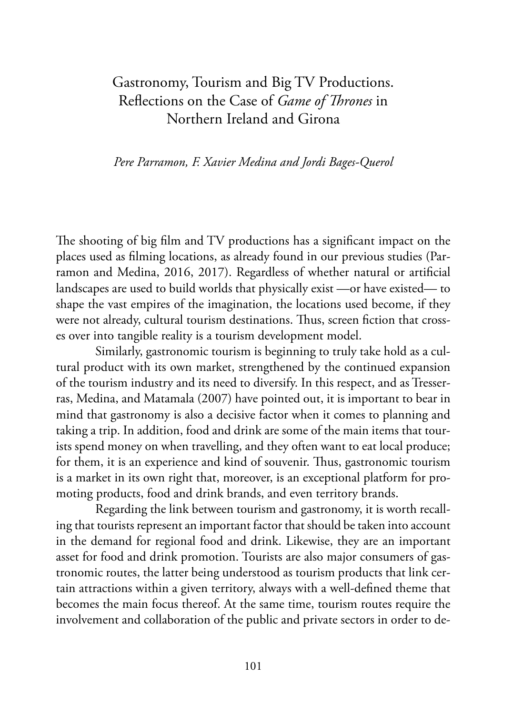# Gastronomy, Tourism and Big TV Productions. Reflections on the Case of *Game of Thrones* in Northern Ireland and Girona

*Pere Parramon, F. Xavier Medina and Jordi Bages-Querol*

The shooting of big film and TV productions has a significant impact on the places used as filming locations, as already found in our previous studies (Parramon and Medina, 2016, 2017). Regardless of whether natural or artificial landscapes are used to build worlds that physically exist —or have existed— to shape the vast empires of the imagination, the locations used become, if they were not already, cultural tourism destinations. Thus, screen fiction that crosses over into tangible reality is a tourism development model.

Similarly, gastronomic tourism is beginning to truly take hold as a cultural product with its own market, strengthened by the continued expansion of the tourism industry and its need to diversify. In this respect, and as Tresserras, Medina, and Matamala (2007) have pointed out, it is important to bear in mind that gastronomy is also a decisive factor when it comes to planning and taking a trip. In addition, food and drink are some of the main items that tourists spend money on when travelling, and they often want to eat local produce; for them, it is an experience and kind of souvenir. Thus, gastronomic tourism is a market in its own right that, moreover, is an exceptional platform for promoting products, food and drink brands, and even territory brands.

Regarding the link between tourism and gastronomy, it is worth recalling that tourists represent an important factor that should be taken into account in the demand for regional food and drink. Likewise, they are an important asset for food and drink promotion. Tourists are also major consumers of gastronomic routes, the latter being understood as tourism products that link certain attractions within a given territory, always with a well-defined theme that becomes the main focus thereof. At the same time, tourism routes require the involvement and collaboration of the public and private sectors in order to de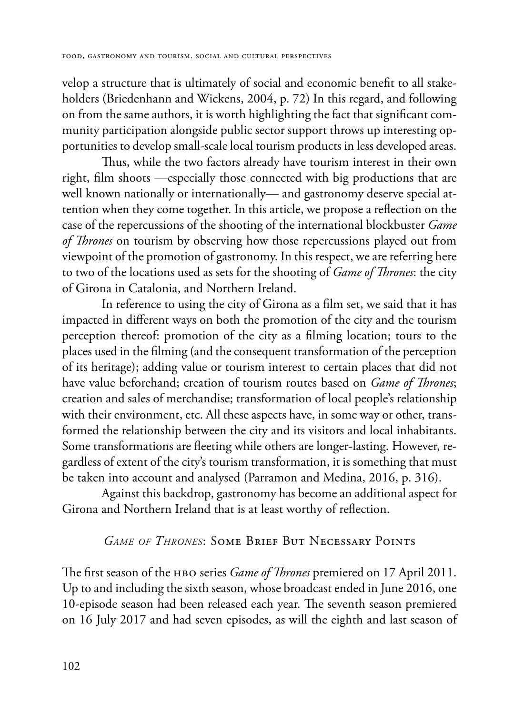velop a structure that is ultimately of social and economic benefit to all stakeholders (Briedenhann and Wickens, 2004, p. 72) In this regard, and following on from the same authors, it is worth highlighting the fact that significant community participation alongside public sector support throws up interesting opportunities to develop small-scale local tourism products in less developed areas.

Thus, while the two factors already have tourism interest in their own right, film shoots —especially those connected with big productions that are well known nationally or internationally— and gastronomy deserve special attention when they come together. In this article, we propose a reflection on the case of the repercussions of the shooting of the international blockbuster *Game of Thrones* on tourism by observing how those repercussions played out from viewpoint of the promotion of gastronomy. In this respect, we are referring here to two of the locations used as sets for the shooting of *Game of Thrones*: the city of Girona in Catalonia, and Northern Ireland.

In reference to using the city of Girona as a film set, we said that it has impacted in different ways on both the promotion of the city and the tourism perception thereof: promotion of the city as a filming location; tours to the places used in the filming (and the consequent transformation of the perception of its heritage); adding value or tourism interest to certain places that did not have value beforehand; creation of tourism routes based on *Game of Thrones*; creation and sales of merchandise; transformation of local people's relationship with their environment, etc. All these aspects have, in some way or other, transformed the relationship between the city and its visitors and local inhabitants. Some transformations are fleeting while others are longer-lasting. However, regardless of extent of the city's tourism transformation, it is something that must be taken into account and analysed (Parramon and Medina, 2016, p. 316).

Against this backdrop, gastronomy has become an additional aspect for Girona and Northern Ireland that is at least worthy of reflection.

## *Game of Thrones*: Some Brief But Necessary Points

The first season of the нво series *Game of Thrones* premiered on 17 April 2011. Up to and including the sixth season, whose broadcast ended in June 2016, one 10-episode season had been released each year. The seventh season premiered on 16 July 2017 and had seven episodes, as will the eighth and last season of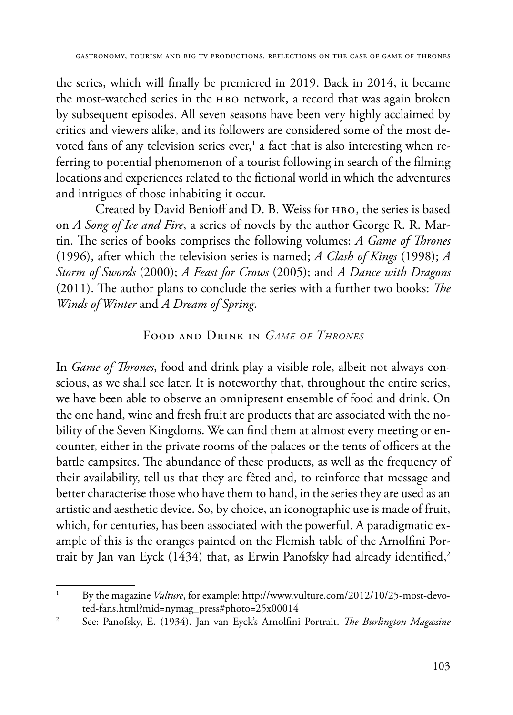the series, which will finally be premiered in 2019. Back in 2014, it became the most-watched series in the HBO network, a record that was again broken by subsequent episodes. All seven seasons have been very highly acclaimed by critics and viewers alike, and its followers are considered some of the most devoted fans of any television series ever, $^{\rm 1}$  a fact that is also interesting when referring to potential phenomenon of a tourist following in search of the filming locations and experiences related to the fictional world in which the adventures and intrigues of those inhabiting it occur.

Created by David Benioff and D. B. Weiss for нво, the series is based on *A Song of Ice and Fire*, a series of novels by the author George R. R. Martin. The series of books comprises the following volumes: *A Game of Thrones* (1996), after which the television series is named; *A Clash of Kings* (1998); *A Storm of Swords* (2000); *A Feast for Crows* (2005); and *A Dance with Dragons* (2011). The author plans to conclude the series with a further two books: *The Winds of Winter* and *A Dream of Spring*.

## Food and Drink in *Game of Thrones*

In *Game of Thrones*, food and drink play a visible role, albeit not always conscious, as we shall see later. It is noteworthy that, throughout the entire series, we have been able to observe an omnipresent ensemble of food and drink. On the one hand, wine and fresh fruit are products that are associated with the nobility of the Seven Kingdoms. We can find them at almost every meeting or encounter, either in the private rooms of the palaces or the tents of officers at the battle campsites. The abundance of these products, as well as the frequency of their availability, tell us that they are fêted and, to reinforce that message and better characterise those who have them to hand, in the series they are used as an artistic and aesthetic device. So, by choice, an iconographic use is made of fruit, which, for centuries, has been associated with the powerful. A paradigmatic example of this is the oranges painted on the Flemish table of the Arnolfini Portrait by Jan van Eyck (1434) that, as Erwin Panofsky had already identified,<sup>2</sup>

<sup>&</sup>lt;sup>1</sup> By the magazine *Vulture*, for example: http://www.vulture.com/2012/10/25-most-devoted-fans.html?mid=nymag\_press#photo=25x00014

<sup>2</sup> See: Panofsky, E. (1934). Jan van Eyck's Arnolfini Portrait. *The Burlington Magazine*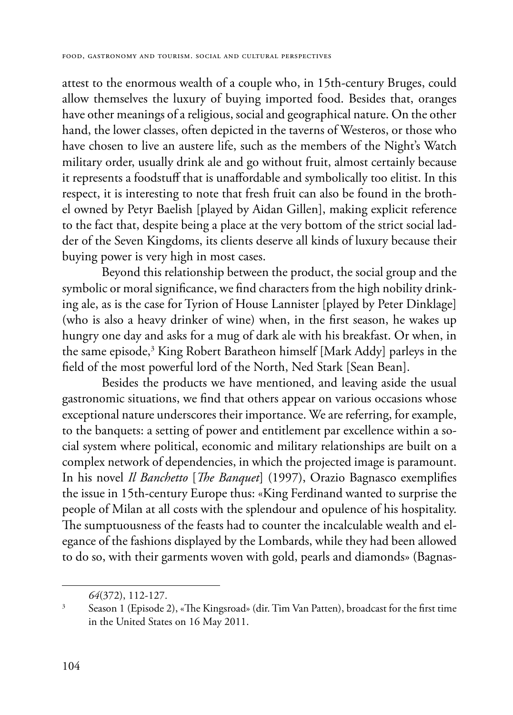attest to the enormous wealth of a couple who, in 15th-century Bruges, could allow themselves the luxury of buying imported food. Besides that, oranges have other meanings of a religious, social and geographical nature. On the other hand, the lower classes, often depicted in the taverns of Westeros, or those who have chosen to live an austere life, such as the members of the Night's Watch military order, usually drink ale and go without fruit, almost certainly because it represents a foodstuff that is unaffordable and symbolically too elitist. In this respect, it is interesting to note that fresh fruit can also be found in the brothel owned by Petyr Baelish [played by Aidan Gillen], making explicit reference to the fact that, despite being a place at the very bottom of the strict social ladder of the Seven Kingdoms, its clients deserve all kinds of luxury because their buying power is very high in most cases.

Beyond this relationship between the product, the social group and the symbolic or moral significance, we find characters from the high nobility drinking ale, as is the case for Tyrion of House Lannister [played by Peter Dinklage] (who is also a heavy drinker of wine) when, in the first season, he wakes up hungry one day and asks for a mug of dark ale with his breakfast. Or when, in the same episode,3 King Robert Baratheon himself [Mark Addy] parleys in the field of the most powerful lord of the North, Ned Stark [Sean Bean].

Besides the products we have mentioned, and leaving aside the usual gastronomic situations, we find that others appear on various occasions whose exceptional nature underscores their importance. We are referring, for example, to the banquets: a setting of power and entitlement par excellence within a social system where political, economic and military relationships are built on a complex network of dependencies, in which the projected image is paramount. In his novel *Il Banchetto* [*The Banquet*] (1997), Orazio Bagnasco exemplifies the issue in 15th-century Europe thus: «King Ferdinand wanted to surprise the people of Milan at all costs with the splendour and opulence of his hospitality. The sumptuousness of the feasts had to counter the incalculable wealth and elegance of the fashions displayed by the Lombards, while they had been allowed to do so, with their garments woven with gold, pearls and diamonds» (Bagnas-

*<sup>64</sup>*(372), 112-127. 3 Season 1 (Episode 2), «The Kingsroad» (dir. Tim Van Patten), broadcast for the first time in the United States on 16 May 2011.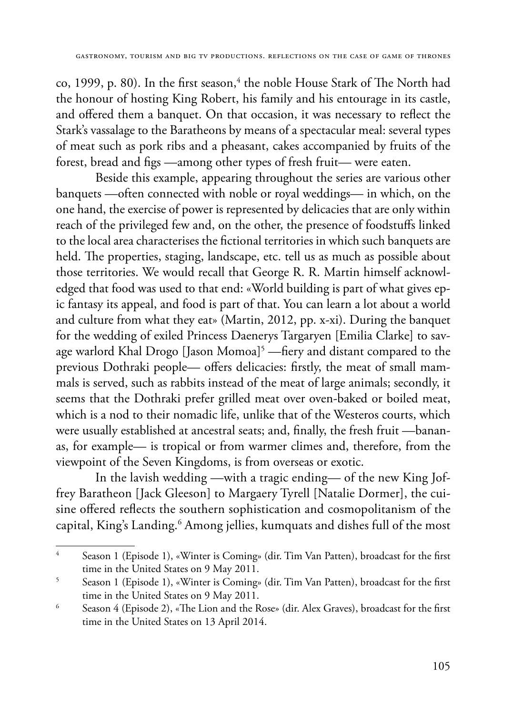co, 1999, p. 80). In the first season,<sup>4</sup> the noble House Stark of The North had the honour of hosting King Robert, his family and his entourage in its castle, and offered them a banquet. On that occasion, it was necessary to reflect the Stark's vassalage to the Baratheons by means of a spectacular meal: several types of meat such as pork ribs and a pheasant, cakes accompanied by fruits of the forest, bread and figs —among other types of fresh fruit— were eaten.

Beside this example, appearing throughout the series are various other banquets —often connected with noble or royal weddings— in which, on the one hand, the exercise of power is represented by delicacies that are only within reach of the privileged few and, on the other, the presence of foodstuffs linked to the local area characterises the fictional territories in which such banquets are held. The properties, staging, landscape, etc. tell us as much as possible about those territories. We would recall that George R. R. Martin himself acknowledged that food was used to that end: «World building is part of what gives epic fantasy its appeal, and food is part of that. You can learn a lot about a world and culture from what they eat» (Martin, 2012, pp. x-xi). During the banquet for the wedding of exiled Princess Daenerys Targaryen [Emilia Clarke] to savage warlord Khal Drogo [Jason Momoa]<sup>5</sup> —fiery and distant compared to the previous Dothraki people— offers delicacies: firstly, the meat of small mammals is served, such as rabbits instead of the meat of large animals; secondly, it seems that the Dothraki prefer grilled meat over oven-baked or boiled meat, which is a nod to their nomadic life, unlike that of the Westeros courts, which were usually established at ancestral seats; and, finally, the fresh fruit —bananas, for example— is tropical or from warmer climes and, therefore, from the viewpoint of the Seven Kingdoms, is from overseas or exotic.

In the lavish wedding —with a tragic ending— of the new King Joffrey Baratheon [Jack Gleeson] to Margaery Tyrell [Natalie Dormer], the cuisine offered reflects the southern sophistication and cosmopolitanism of the capital, King's Landing.<sup>6</sup> Among jellies, kumquats and dishes full of the most

<sup>4</sup> Season 1 (Episode 1), «Winter is Coming» (dir. Tim Van Patten), broadcast for the first time in the United States on 9 May 2011.

<sup>5</sup> Season 1 (Episode 1), «Winter is Coming» (dir. Tim Van Patten), broadcast for the first time in the United States on 9 May 2011.

<sup>6</sup> Season 4 (Episode 2), «The Lion and the Rose» (dir. Alex Graves), broadcast for the first time in the United States on 13 April 2014.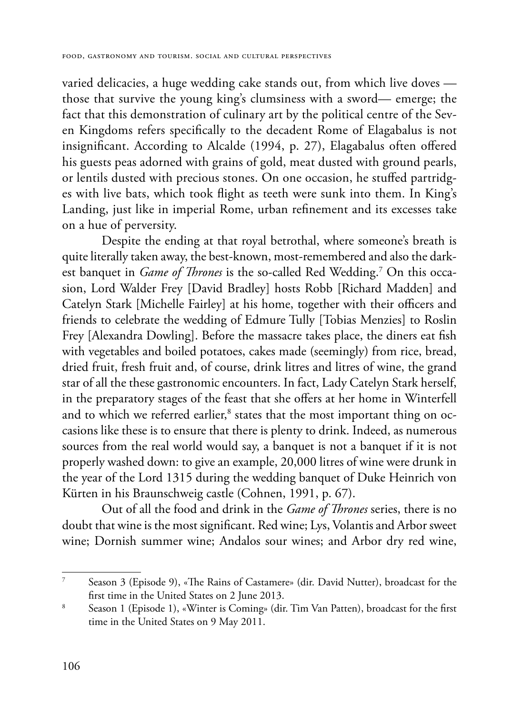varied delicacies, a huge wedding cake stands out, from which live doves those that survive the young king's clumsiness with a sword— emerge; the fact that this demonstration of culinary art by the political centre of the Seven Kingdoms refers specifically to the decadent Rome of Elagabalus is not insignificant. According to Alcalde (1994, p. 27), Elagabalus often offered his guests peas adorned with grains of gold, meat dusted with ground pearls, or lentils dusted with precious stones. On one occasion, he stuffed partridges with live bats, which took flight as teeth were sunk into them. In King's Landing, just like in imperial Rome, urban refinement and its excesses take on a hue of perversity.

Despite the ending at that royal betrothal, where someone's breath is quite literally taken away, the best-known, most-remembered and also the darkest banquet in *Game of Thrones* is the so-called Red Wedding.7 On this occasion, Lord Walder Frey [David Bradley] hosts Robb [Richard Madden] and Catelyn Stark [Michelle Fairley] at his home, together with their officers and friends to celebrate the wedding of Edmure Tully [Tobias Menzies] to Roslin Frey [Alexandra Dowling]. Before the massacre takes place, the diners eat fish with vegetables and boiled potatoes, cakes made (seemingly) from rice, bread, dried fruit, fresh fruit and, of course, drink litres and litres of wine, the grand star of all the these gastronomic encounters. In fact, Lady Catelyn Stark herself, in the preparatory stages of the feast that she offers at her home in Winterfell and to which we referred earlier, $^{\text{s}}$  states that the most important thing on occasions like these is to ensure that there is plenty to drink. Indeed, as numerous sources from the real world would say, a banquet is not a banquet if it is not properly washed down: to give an example, 20,000 litres of wine were drunk in the year of the Lord 1315 during the wedding banquet of Duke Heinrich von Kürten in his Braunschweig castle (Cohnen, 1991, p. 67).

Out of all the food and drink in the *Game of Thrones* series, there is no doubt that wine is the most significant. Red wine; Lys, Volantis and Arbor sweet wine; Dornish summer wine; Andalos sour wines; and Arbor dry red wine,

<sup>7</sup> Season 3 (Episode 9), «The Rains of Castamere» (dir. David Nutter), broadcast for the first time in the United States on 2 June 2013.

<sup>8</sup> Season 1 (Episode 1), «Winter is Coming» (dir. Tim Van Patten), broadcast for the first time in the United States on 9 May 2011.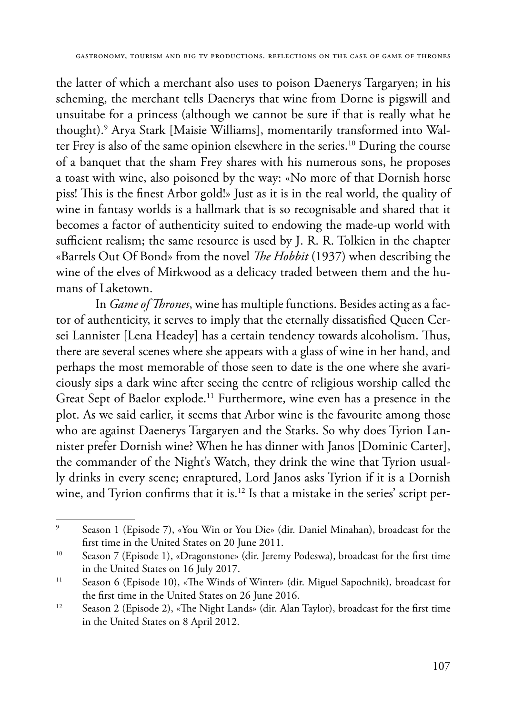the latter of which a merchant also uses to poison Daenerys Targaryen; in his scheming, the merchant tells Daenerys that wine from Dorne is pigswill and unsuitabe for a princess (although we cannot be sure if that is really what he thought).9 Arya Stark [Maisie Williams], momentarily transformed into Walter Frey is also of the same opinion elsewhere in the series.<sup>10</sup> During the course of a banquet that the sham Frey shares with his numerous sons, he proposes a toast with wine, also poisoned by the way: «No more of that Dornish horse piss! This is the finest Arbor gold!» Just as it is in the real world, the quality of wine in fantasy worlds is a hallmark that is so recognisable and shared that it becomes a factor of authenticity suited to endowing the made-up world with sufficient realism; the same resource is used by J. R. R. Tolkien in the chapter «Barrels Out Of Bond» from the novel *The Hobbit* (1937) when describing the wine of the elves of Mirkwood as a delicacy traded between them and the humans of Laketown.

In *Game of Thrones*, wine has multiple functions. Besides acting as a factor of authenticity, it serves to imply that the eternally dissatisfied Queen Cersei Lannister [Lena Headey] has a certain tendency towards alcoholism. Thus, there are several scenes where she appears with a glass of wine in her hand, and perhaps the most memorable of those seen to date is the one where she avariciously sips a dark wine after seeing the centre of religious worship called the Great Sept of Baelor explode.<sup>11</sup> Furthermore, wine even has a presence in the plot. As we said earlier, it seems that Arbor wine is the favourite among those who are against Daenerys Targaryen and the Starks. So why does Tyrion Lannister prefer Dornish wine? When he has dinner with Janos [Dominic Carter], the commander of the Night's Watch, they drink the wine that Tyrion usually drinks in every scene; enraptured, Lord Janos asks Tyrion if it is a Dornish wine, and Tyrion confirms that it is.<sup>12</sup> Is that a mistake in the series' script per-

<sup>9</sup> Season 1 (Episode 7), «You Win or You Die» (dir. Daniel Minahan), broadcast for the first time in the United States on 20 June 2011.

<sup>10</sup> Season 7 (Episode 1), «Dragonstone» (dir. Jeremy Podeswa), broadcast for the first time in the United States on 16 July 2017.

<sup>11</sup> Season 6 (Episode 10), «The Winds of Winter» (dir. Miguel Sapochnik), broadcast for the first time in the United States on 26 June 2016.

<sup>12</sup> Season 2 (Episode 2), «The Night Lands» (dir. Alan Taylor), broadcast for the first time in the United States on 8 April 2012.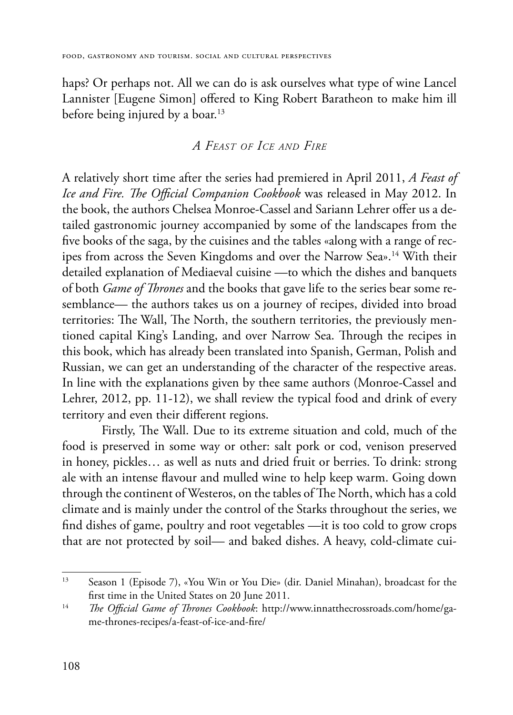haps? Or perhaps not. All we can do is ask ourselves what type of wine Lancel Lannister [Eugene Simon] offered to King Robert Baratheon to make him ill before being injured by a boar.<sup>13</sup>

## *A Feast of Ice and Fire*

A relatively short time after the series had premiered in April 2011, *A Feast of Ice and Fire. The Official Companion Cookbook* was released in May 2012. In the book, the authors Chelsea Monroe-Cassel and Sariann Lehrer offer us a detailed gastronomic journey accompanied by some of the landscapes from the five books of the saga, by the cuisines and the tables «along with a range of recipes from across the Seven Kingdoms and over the Narrow Sea».<sup>14</sup> With their detailed explanation of Mediaeval cuisine —to which the dishes and banquets of both *Game of Thrones* and the books that gave life to the series bear some resemblance— the authors takes us on a journey of recipes, divided into broad territories: The Wall, The North, the southern territories, the previously mentioned capital King's Landing, and over Narrow Sea. Through the recipes in this book, which has already been translated into Spanish, German, Polish and Russian, we can get an understanding of the character of the respective areas. In line with the explanations given by thee same authors (Monroe-Cassel and Lehrer, 2012, pp. 11-12), we shall review the typical food and drink of every territory and even their different regions.

Firstly, The Wall. Due to its extreme situation and cold, much of the food is preserved in some way or other: salt pork or cod, venison preserved in honey, pickles… as well as nuts and dried fruit or berries. To drink: strong ale with an intense flavour and mulled wine to help keep warm. Going down through the continent of Westeros, on the tables of The North, which has a cold climate and is mainly under the control of the Starks throughout the series, we find dishes of game, poultry and root vegetables —it is too cold to grow crops that are not protected by soil— and baked dishes. A heavy, cold-climate cui-

<sup>13</sup> Season 1 (Episode 7), «You Win or You Die» (dir. Daniel Minahan), broadcast for the first time in the United States on 20 June 2011.

<sup>14</sup> *The Official Game of Thrones Cookbook*: http://www.innatthecrossroads.com/home/game-thrones-recipes/a-feast-of-ice-and-fire/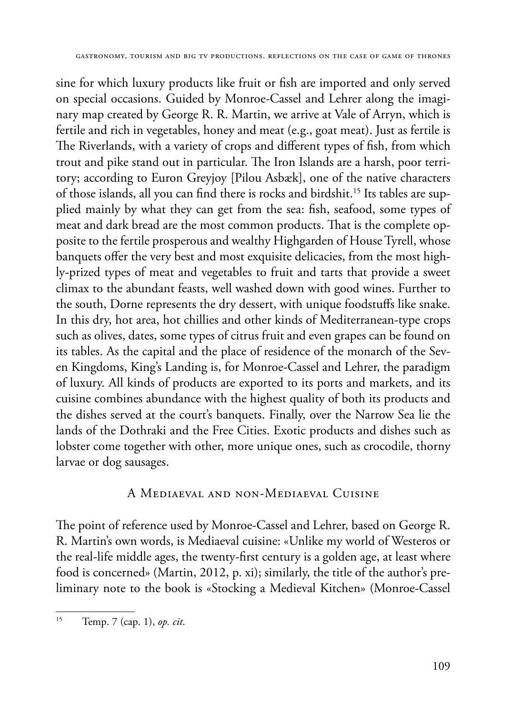sine for which luxury products like fruit or fish are imported and only served on special occasions. Guided by Monroe-Cassel and Lehrer along the imaginary map created by George R. R. Martin, we arrive at Vale of Arryn, which is fertile and rich in vegetables, honey and meat (e.g., goat meat). Just as fertile is The Riverlands, with a variety of crops and different types of fish, from which trout and pike stand out in particular. The Iron Islands are a harsh, poor territory; according to Euron Greyjoy [Pilou Asbæk], one of the native characters of those islands, all you can find there is rocks and birdshit.15 Its tables are supplied mainly by what they can get from the sea: fish, seafood, some types of meat and dark bread are the most common products. That is the complete opposite to the fertile prosperous and wealthy Highgarden of House Tyrell, whose banquets offer the very best and most exquisite delicacies, from the most highly-prized types of meat and vegetables to fruit and tarts that provide a sweet climax to the abundant feasts, well washed down with good wines. Further to the south, Dorne represents the dry dessert, with unique foodstuffs like snake. In this dry, hot area, hot chillies and other kinds of Mediterranean-type crops such as olives, dates, some types of citrus fruit and even grapes can be found on its tables. As the capital and the place of residence of the monarch of the Seven Kingdoms, King's Landing is, for Monroe-Cassel and Lehrer, the paradigm of luxury. All kinds of products are exported to its ports and markets, and its cuisine combines abundance with the highest quality of both its products and the dishes served at the court's banquets. Finally, over the Narrow Sea lie the lands of the Dothraki and the Free Cities. Exotic products and dishes such as lobster come together with other, more unique ones, such as crocodile, thorny larvae or dog sausages.

## A Mediaeval and non-Mediaeval Cuisine

The point of reference used by Monroe-Cassel and Lehrer, based on George R. R. Martin's own words, is Mediaeval cuisine: «Unlike my world of Westeros or the real-life middle ages, the twenty-first century is a golden age, at least where food is concerned» (Martin, 2012, p. xi); similarly, the title of the author's preliminary note to the book is «Stocking a Medieval Kitchen» (Monroe-Cassel

<sup>15</sup> Temp. 7 (cap. 1), *op. cit*.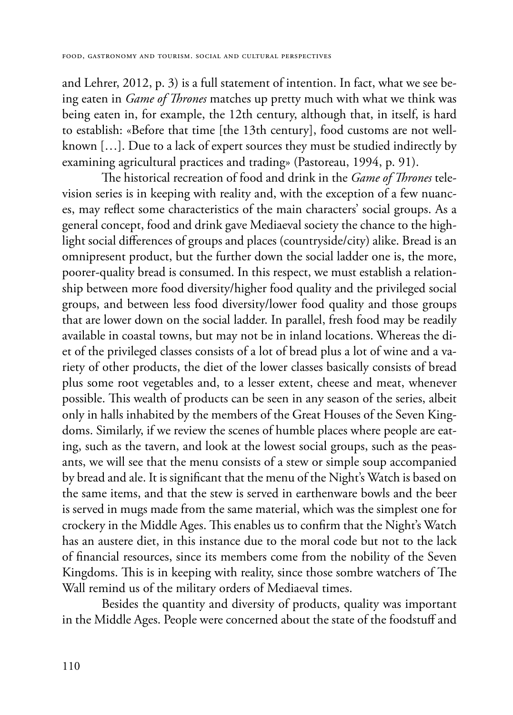and Lehrer, 2012, p. 3) is a full statement of intention. In fact, what we see being eaten in *Game of Thrones* matches up pretty much with what we think was being eaten in, for example, the 12th century, although that, in itself, is hard to establish: «Before that time [the 13th century], food customs are not wellknown […]. Due to a lack of expert sources they must be studied indirectly by examining agricultural practices and trading» (Pastoreau, 1994, p. 91).

The historical recreation of food and drink in the *Game of Thrones* television series is in keeping with reality and, with the exception of a few nuances, may reflect some characteristics of the main characters' social groups. As a general concept, food and drink gave Mediaeval society the chance to the highlight social differences of groups and places (countryside/city) alike. Bread is an omnipresent product, but the further down the social ladder one is, the more, poorer-quality bread is consumed. In this respect, we must establish a relationship between more food diversity/higher food quality and the privileged social groups, and between less food diversity/lower food quality and those groups that are lower down on the social ladder. In parallel, fresh food may be readily available in coastal towns, but may not be in inland locations. Whereas the diet of the privileged classes consists of a lot of bread plus a lot of wine and a variety of other products, the diet of the lower classes basically consists of bread plus some root vegetables and, to a lesser extent, cheese and meat, whenever possible. This wealth of products can be seen in any season of the series, albeit only in halls inhabited by the members of the Great Houses of the Seven Kingdoms. Similarly, if we review the scenes of humble places where people are eating, such as the tavern, and look at the lowest social groups, such as the peasants, we will see that the menu consists of a stew or simple soup accompanied by bread and ale. It is significant that the menu of the Night's Watch is based on the same items, and that the stew is served in earthenware bowls and the beer is served in mugs made from the same material, which was the simplest one for crockery in the Middle Ages. This enables us to confirm that the Night's Watch has an austere diet, in this instance due to the moral code but not to the lack of financial resources, since its members come from the nobility of the Seven Kingdoms. This is in keeping with reality, since those sombre watchers of The Wall remind us of the military orders of Mediaeval times.

Besides the quantity and diversity of products, quality was important in the Middle Ages. People were concerned about the state of the foodstuff and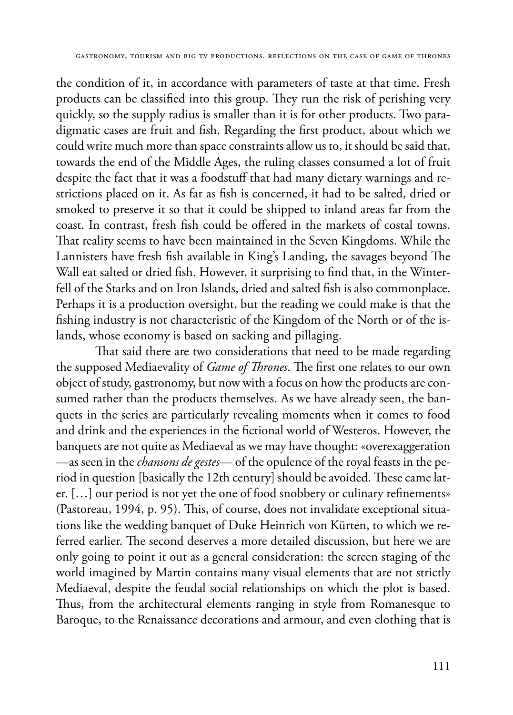the condition of it, in accordance with parameters of taste at that time. Fresh products can be classified into this group. They run the risk of perishing very quickly, so the supply radius is smaller than it is for other products. Two paradigmatic cases are fruit and fish. Regarding the first product, about which we could write much more than space constraints allow us to, it should be said that, towards the end of the Middle Ages, the ruling classes consumed a lot of fruit despite the fact that it was a foodstuff that had many dietary warnings and restrictions placed on it. As far as fish is concerned, it had to be salted, dried or smoked to preserve it so that it could be shipped to inland areas far from the coast. In contrast, fresh fish could be offered in the markets of costal towns. That reality seems to have been maintained in the Seven Kingdoms. While the Lannisters have fresh fish available in King's Landing, the savages beyond The Wall eat salted or dried fish. However, it surprising to find that, in the Winterfell of the Starks and on Iron Islands, dried and salted fish is also commonplace. Perhaps it is a production oversight, but the reading we could make is that the fishing industry is not characteristic of the Kingdom of the North or of the islands, whose economy is based on sacking and pillaging.

That said there are two considerations that need to be made regarding the supposed Mediaevality of *Game of Thrones*. The first one relates to our own object of study, gastronomy, but now with a focus on how the products are consumed rather than the products themselves. As we have already seen, the banquets in the series are particularly revealing moments when it comes to food and drink and the experiences in the fictional world of Westeros. However, the banquets are not quite as Mediaeval as we may have thought: «overexaggeration —as seen in the *chansons de gestes*— of the opulence of the royal feasts in the period in question [basically the 12th century] should be avoided. These came later. […] our period is not yet the one of food snobbery or culinary refinements» (Pastoreau, 1994, p. 95). This, of course, does not invalidate exceptional situations like the wedding banquet of Duke Heinrich von Kürten, to which we referred earlier. The second deserves a more detailed discussion, but here we are only going to point it out as a general consideration: the screen staging of the world imagined by Martin contains many visual elements that are not strictly Mediaeval, despite the feudal social relationships on which the plot is based. Thus, from the architectural elements ranging in style from Romanesque to Baroque, to the Renaissance decorations and armour, and even clothing that is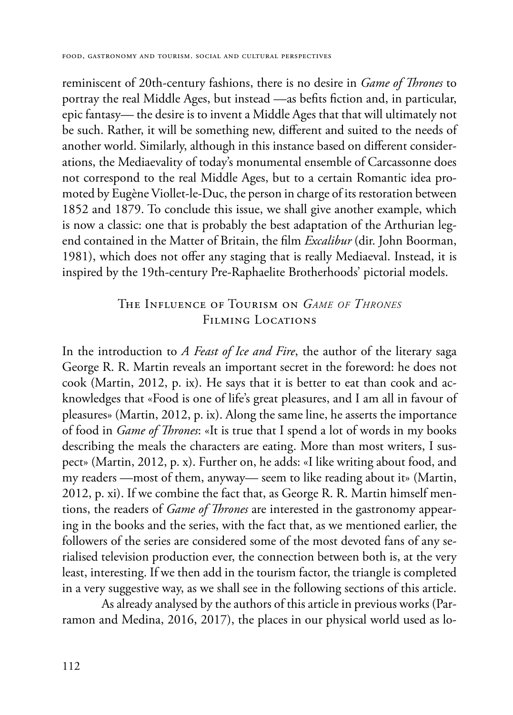reminiscent of 20th-century fashions, there is no desire in *Game of Thrones* to portray the real Middle Ages, but instead —as befits fiction and, in particular, epic fantasy— the desire is to invent a Middle Ages that that will ultimately not be such. Rather, it will be something new, different and suited to the needs of another world. Similarly, although in this instance based on different considerations, the Mediaevality of today's monumental ensemble of Carcassonne does not correspond to the real Middle Ages, but to a certain Romantic idea promoted by Eugène Viollet-le-Duc, the person in charge of its restoration between 1852 and 1879. To conclude this issue, we shall give another example, which is now a classic: one that is probably the best adaptation of the Arthurian legend contained in the Matter of Britain, the film *Excalibur* (dir. John Boorman, 1981), which does not offer any staging that is really Mediaeval. Instead, it is inspired by the 19th-century Pre-Raphaelite Brotherhoods' pictorial models.

## The Influence of Tourism on *Game of Thrones* FILMING LOCATIONS

In the introduction to *A Feast of Ice and Fire*, the author of the literary saga George R. R. Martin reveals an important secret in the foreword: he does not cook (Martin, 2012, p. ix). He says that it is better to eat than cook and acknowledges that «Food is one of life's great pleasures, and I am all in favour of pleasures» (Martin, 2012, p. ix). Along the same line, he asserts the importance of food in *Game of Thrones*: «It is true that I spend a lot of words in my books describing the meals the characters are eating. More than most writers, I suspect» (Martin, 2012, p. x). Further on, he adds: «I like writing about food, and my readers —most of them, anyway— seem to like reading about it» (Martin, 2012, p. xi). If we combine the fact that, as George R. R. Martin himself mentions, the readers of *Game of Thrones* are interested in the gastronomy appearing in the books and the series, with the fact that, as we mentioned earlier, the followers of the series are considered some of the most devoted fans of any serialised television production ever, the connection between both is, at the very least, interesting. If we then add in the tourism factor, the triangle is completed in a very suggestive way, as we shall see in the following sections of this article.

As already analysed by the authors of this article in previous works (Parramon and Medina, 2016, 2017), the places in our physical world used as lo-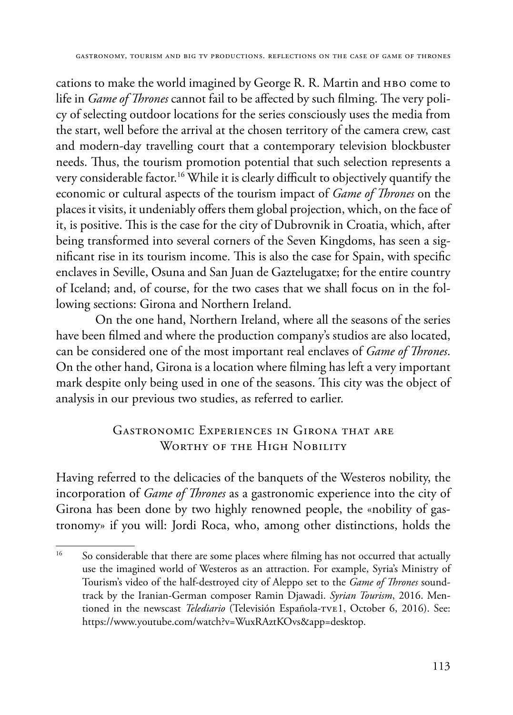cations to make the world imagined by George R. R. Martin and HBO come to life in *Game of Thrones* cannot fail to be affected by such filming. The very policy of selecting outdoor locations for the series consciously uses the media from the start, well before the arrival at the chosen territory of the camera crew, cast and modern-day travelling court that a contemporary television blockbuster needs. Thus, the tourism promotion potential that such selection represents a very considerable factor.16 While it is clearly difficult to objectively quantify the economic or cultural aspects of the tourism impact of *Game of Thrones* on the places it visits, it undeniably offers them global projection, which, on the face of it, is positive. This is the case for the city of Dubrovnik in Croatia, which, after being transformed into several corners of the Seven Kingdoms, has seen a significant rise in its tourism income. This is also the case for Spain, with specific enclaves in Seville, Osuna and San Juan de Gaztelugatxe; for the entire country of Iceland; and, of course, for the two cases that we shall focus on in the following sections: Girona and Northern Ireland.

On the one hand, Northern Ireland, where all the seasons of the series have been filmed and where the production company's studios are also located, can be considered one of the most important real enclaves of *Game of Thrones*. On the other hand, Girona is a location where filming has left a very important mark despite only being used in one of the seasons. This city was the object of analysis in our previous two studies, as referred to earlier.

## Gastronomic Experiences in Girona that are WORTHY OF THE HIGH NOBILITY

Having referred to the delicacies of the banquets of the Westeros nobility, the incorporation of *Game of Thrones* as a gastronomic experience into the city of Girona has been done by two highly renowned people, the «nobility of gastronomy» if you will: Jordi Roca, who, among other distinctions, holds the

<sup>&</sup>lt;sup>16</sup> So considerable that there are some places where filming has not occurred that actually use the imagined world of Westeros as an attraction. For example, Syria's Ministry of Tourism's video of the half-destroyed city of Aleppo set to the *Game of Thrones* soundtrack by the Iranian-German composer Ramin Djawadi. *Syrian Tourism*, 2016. Mentioned in the newscast *Telediario* (Televisión Española-tve1, October 6, 2016). See: https://www.youtube.com/watch?v=WuxRAztKOvs&app=desktop.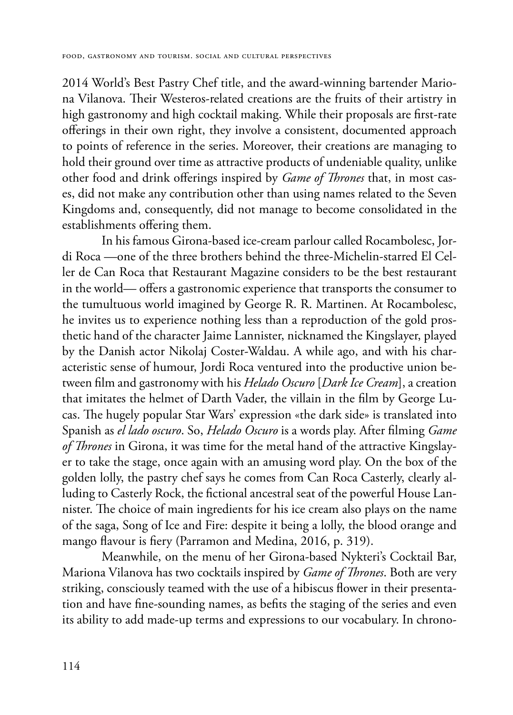2014 World's Best Pastry Chef title, and the award-winning bartender Mariona Vilanova. Their Westeros-related creations are the fruits of their artistry in high gastronomy and high cocktail making. While their proposals are first-rate offerings in their own right, they involve a consistent, documented approach to points of reference in the series. Moreover, their creations are managing to hold their ground over time as attractive products of undeniable quality, unlike other food and drink offerings inspired by *Game of Thrones* that, in most cases, did not make any contribution other than using names related to the Seven Kingdoms and, consequently, did not manage to become consolidated in the establishments offering them.

In his famous Girona-based ice-cream parlour called Rocambolesc, Jordi Roca —one of the three brothers behind the three-Michelin-starred El Celler de Can Roca that Restaurant Magazine considers to be the best restaurant in the world— offers a gastronomic experience that transports the consumer to the tumultuous world imagined by George R. R. Martinen. At Rocambolesc, he invites us to experience nothing less than a reproduction of the gold prosthetic hand of the character Jaime Lannister, nicknamed the Kingslayer, played by the Danish actor Nikolaj Coster-Waldau. A while ago, and with his characteristic sense of humour, Jordi Roca ventured into the productive union between film and gastronomy with his *Helado Oscuro* [*Dark Ice Cream*], a creation that imitates the helmet of Darth Vader, the villain in the film by George Lucas. The hugely popular Star Wars' expression «the dark side» is translated into Spanish as *el lado oscuro*. So, *Helado Oscuro* is a words play. After filming *Game of Thrones* in Girona, it was time for the metal hand of the attractive Kingslayer to take the stage, once again with an amusing word play. On the box of the golden lolly, the pastry chef says he comes from Can Roca Casterly, clearly alluding to Casterly Rock, the fictional ancestral seat of the powerful House Lannister. The choice of main ingredients for his ice cream also plays on the name of the saga, Song of Ice and Fire: despite it being a lolly, the blood orange and mango flavour is fiery (Parramon and Medina, 2016, p. 319).

Meanwhile, on the menu of her Girona-based Nykteri's Cocktail Bar, Mariona Vilanova has two cocktails inspired by *Game of Thrones*. Both are very striking, consciously teamed with the use of a hibiscus flower in their presentation and have fine-sounding names, as befits the staging of the series and even its ability to add made-up terms and expressions to our vocabulary. In chrono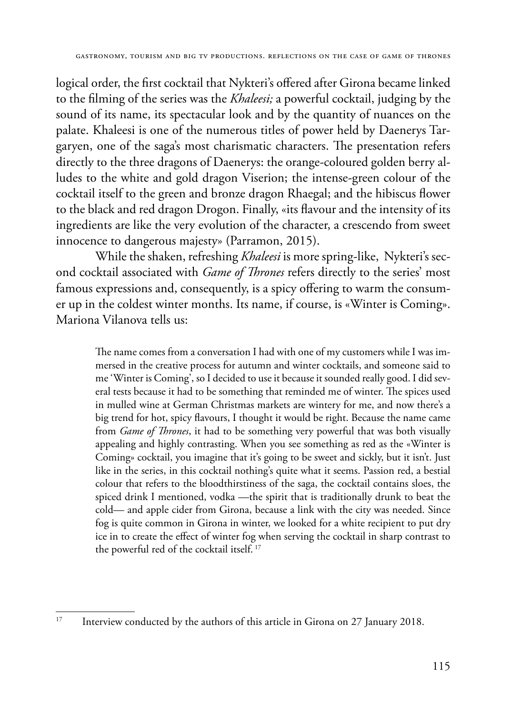logical order, the first cocktail that Nykteri's offered after Girona became linked to the filming of the series was the *Khaleesi;* a powerful cocktail, judging by the sound of its name, its spectacular look and by the quantity of nuances on the palate. Khaleesi is one of the numerous titles of power held by Daenerys Targaryen, one of the saga's most charismatic characters. The presentation refers directly to the three dragons of Daenerys: the orange-coloured golden berry alludes to the white and gold dragon Viserion; the intense-green colour of the cocktail itself to the green and bronze dragon Rhaegal; and the hibiscus flower to the black and red dragon Drogon. Finally, «its flavour and the intensity of its ingredients are like the very evolution of the character, a crescendo from sweet innocence to dangerous majesty» (Parramon, 2015).

While the shaken, refreshing *Khaleesi* is more spring-like, Nykteri's second cocktail associated with *Game of Thrones* refers directly to the series' most famous expressions and, consequently, is a spicy offering to warm the consumer up in the coldest winter months. Its name, if course, is «Winter is Coming». Mariona Vilanova tells us:

The name comes from a conversation I had with one of my customers while I was immersed in the creative process for autumn and winter cocktails, and someone said to me 'Winter is Coming', so I decided to use it because it sounded really good. I did several tests because it had to be something that reminded me of winter. The spices used in mulled wine at German Christmas markets are wintery for me, and now there's a big trend for hot, spicy flavours, I thought it would be right. Because the name came from *Game of Thrones*, it had to be something very powerful that was both visually appealing and highly contrasting. When you see something as red as the «Winter is Coming» cocktail, you imagine that it's going to be sweet and sickly, but it isn't. Just like in the series, in this cocktail nothing's quite what it seems. Passion red, a bestial colour that refers to the bloodthirstiness of the saga, the cocktail contains sloes, the spiced drink I mentioned, vodka —the spirit that is traditionally drunk to beat the cold— and apple cider from Girona, because a link with the city was needed. Since fog is quite common in Girona in winter, we looked for a white recipient to put dry ice in to create the effect of winter fog when serving the cocktail in sharp contrast to the powerful red of the cocktail itself. 17

<sup>&</sup>lt;sup>17</sup> Interview conducted by the authors of this article in Girona on 27 January 2018.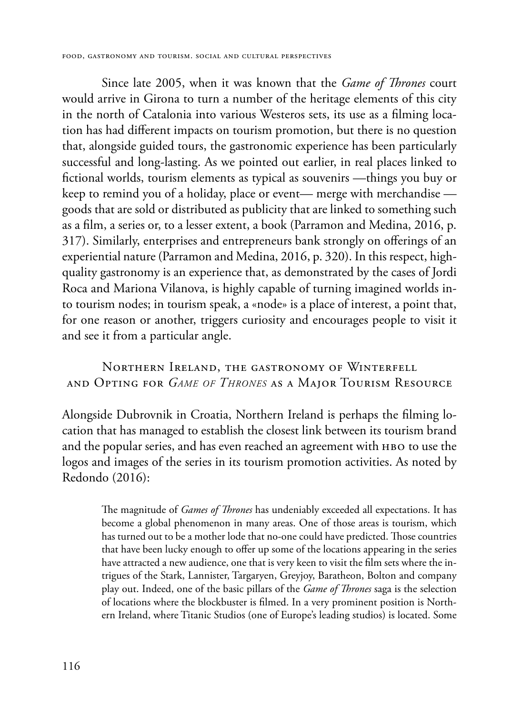Since late 2005, when it was known that the *Game of Thrones* court would arrive in Girona to turn a number of the heritage elements of this city in the north of Catalonia into various Westeros sets, its use as a filming location has had different impacts on tourism promotion, but there is no question that, alongside guided tours, the gastronomic experience has been particularly successful and long-lasting. As we pointed out earlier, in real places linked to fictional worlds, tourism elements as typical as souvenirs —things you buy or keep to remind you of a holiday, place or event— merge with merchandise goods that are sold or distributed as publicity that are linked to something such as a film, a series or, to a lesser extent, a book (Parramon and Medina, 2016, p. 317). Similarly, enterprises and entrepreneurs bank strongly on offerings of an experiential nature (Parramon and Medina, 2016, p. 320). In this respect, highquality gastronomy is an experience that, as demonstrated by the cases of Jordi Roca and Mariona Vilanova, is highly capable of turning imagined worlds into tourism nodes; in tourism speak, a «node» is a place of interest, a point that, for one reason or another, triggers curiosity and encourages people to visit it and see it from a particular angle.

## Northern Ireland, the gastronomy of Winterfell and Opting for *Game of Thrones* as a Major Tourism Resource

Alongside Dubrovnik in Croatia, Northern Ireland is perhaps the filming location that has managed to establish the closest link between its tourism brand and the popular series, and has even reached an agreement with HBO to use the logos and images of the series in its tourism promotion activities. As noted by Redondo (2016):

> The magnitude of *Games of Thrones* has undeniably exceeded all expectations. It has become a global phenomenon in many areas. One of those areas is tourism, which has turned out to be a mother lode that no-one could have predicted. Those countries that have been lucky enough to offer up some of the locations appearing in the series have attracted a new audience, one that is very keen to visit the film sets where the intrigues of the Stark, Lannister, Targaryen, Greyjoy, Baratheon, Bolton and company play out. Indeed, one of the basic pillars of the *Game of Thrones* saga is the selection of locations where the blockbuster is filmed. In a very prominent position is Northern Ireland, where Titanic Studios (one of Europe's leading studios) is located. Some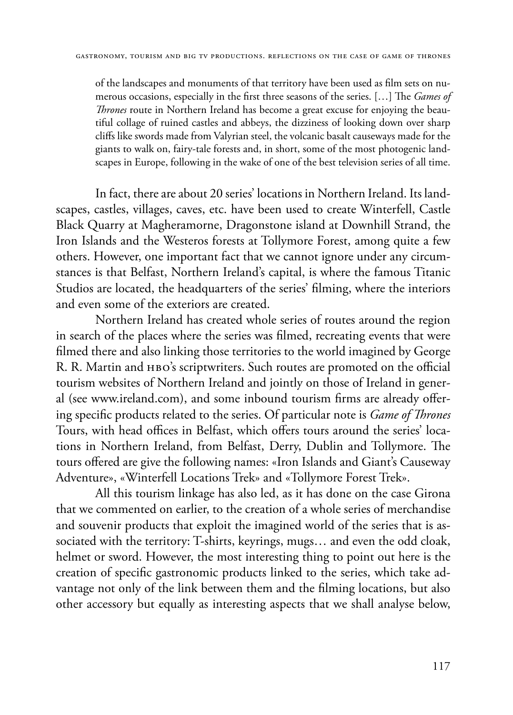of the landscapes and monuments of that territory have been used as film sets on numerous occasions, especially in the first three seasons of the series. […] The *Games of Thrones* route in Northern Ireland has become a great excuse for enjoying the beautiful collage of ruined castles and abbeys, the dizziness of looking down over sharp cliffs like swords made from Valyrian steel, the volcanic basalt causeways made for the giants to walk on, fairy-tale forests and, in short, some of the most photogenic landscapes in Europe, following in the wake of one of the best television series of all time.

In fact, there are about 20 series' locations in Northern Ireland. Its landscapes, castles, villages, caves, etc. have been used to create Winterfell, Castle Black Quarry at Magheramorne, Dragonstone island at Downhill Strand, the Iron Islands and the Westeros forests at Tollymore Forest, among quite a few others. However, one important fact that we cannot ignore under any circumstances is that Belfast, Northern Ireland's capital, is where the famous Titanic Studios are located, the headquarters of the series' filming, where the interiors and even some of the exteriors are created.

Northern Ireland has created whole series of routes around the region in search of the places where the series was filmed, recreating events that were filmed there and also linking those territories to the world imagined by George R. R. Martin and HBO's scriptwriters. Such routes are promoted on the official tourism websites of Northern Ireland and jointly on those of Ireland in general (see www.ireland.com), and some inbound tourism firms are already offering specific products related to the series. Of particular note is *Game of Thrones* Tours, with head offices in Belfast, which offers tours around the series' locations in Northern Ireland, from Belfast, Derry, Dublin and Tollymore. The tours offered are give the following names: «Iron Islands and Giant's Causeway Adventure», «Winterfell Locations Trek» and «Tollymore Forest Trek».

All this tourism linkage has also led, as it has done on the case Girona that we commented on earlier, to the creation of a whole series of merchandise and souvenir products that exploit the imagined world of the series that is associated with the territory: T-shirts, keyrings, mugs… and even the odd cloak, helmet or sword. However, the most interesting thing to point out here is the creation of specific gastronomic products linked to the series, which take advantage not only of the link between them and the filming locations, but also other accessory but equally as interesting aspects that we shall analyse below,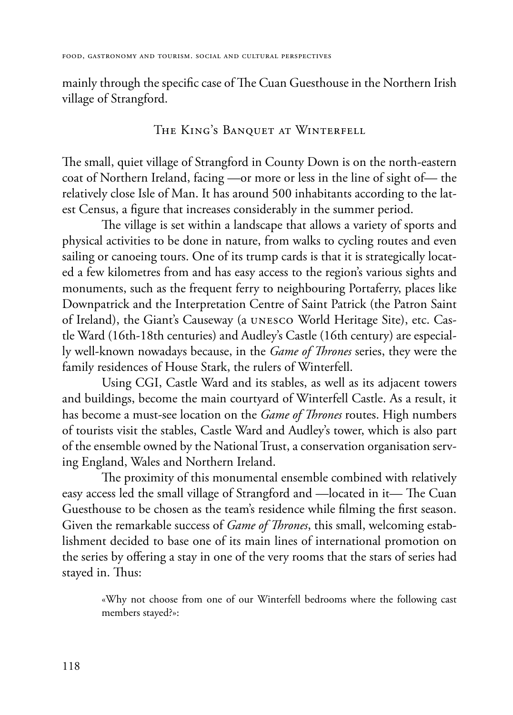mainly through the specific case of The Cuan Guesthouse in the Northern Irish village of Strangford.

### The King's Banquet at Winterfell

The small, quiet village of Strangford in County Down is on the north-eastern coat of Northern Ireland, facing —or more or less in the line of sight of— the relatively close Isle of Man. It has around 500 inhabitants according to the latest Census, a figure that increases considerably in the summer period.

The village is set within a landscape that allows a variety of sports and physical activities to be done in nature, from walks to cycling routes and even sailing or canoeing tours. One of its trump cards is that it is strategically located a few kilometres from and has easy access to the region's various sights and monuments, such as the frequent ferry to neighbouring Portaferry, places like Downpatrick and the Interpretation Centre of Saint Patrick (the Patron Saint of Ireland), the Giant's Causeway (a unesco World Heritage Site), etc. Castle Ward (16th-18th centuries) and Audley's Castle (16th century) are especially well-known nowadays because, in the *Game of Thrones* series, they were the family residences of House Stark, the rulers of Winterfell.

Using CGI, Castle Ward and its stables, as well as its adjacent towers and buildings, become the main courtyard of Winterfell Castle. As a result, it has become a must-see location on the *Game of Thrones* routes. High numbers of tourists visit the stables, Castle Ward and Audley's tower, which is also part of the ensemble owned by the National Trust, a conservation organisation serving England, Wales and Northern Ireland.

The proximity of this monumental ensemble combined with relatively easy access led the small village of Strangford and —located in it— The Cuan Guesthouse to be chosen as the team's residence while filming the first season. Given the remarkable success of *Game of Thrones*, this small, welcoming establishment decided to base one of its main lines of international promotion on the series by offering a stay in one of the very rooms that the stars of series had stayed in. Thus:

«Why not choose from one of our Winterfell bedrooms where the following cast members stayed?»: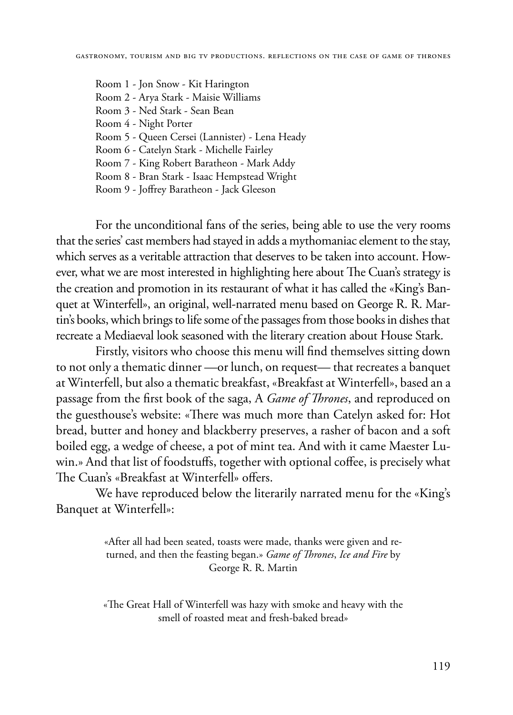Room 1 - Jon Snow - Kit Harington Room 2 - Arya Stark - Maisie Williams Room 3 - Ned Stark - Sean Bean Room 4 - Night Porter Room 5 - Queen Cersei (Lannister) - Lena Heady Room 6 - Catelyn Stark - Michelle Fairley Room 7 - King Robert Baratheon - Mark Addy Room 8 - Bran Stark - Isaac Hempstead Wright Room 9 - Joffrey Baratheon - Jack Gleeson

For the unconditional fans of the series, being able to use the very rooms that the series' cast members had stayed in adds a mythomaniac element to the stay, which serves as a veritable attraction that deserves to be taken into account. However, what we are most interested in highlighting here about The Cuan's strategy is the creation and promotion in its restaurant of what it has called the «King's Banquet at Winterfell», an original, well-narrated menu based on George R. R. Martin's books, which brings to life some of the passages from those books in dishes that recreate a Mediaeval look seasoned with the literary creation about House Stark.

Firstly, visitors who choose this menu will find themselves sitting down to not only a thematic dinner —or lunch, on request— that recreates a banquet at Winterfell, but also a thematic breakfast, «Breakfast at Winterfell», based an a passage from the first book of the saga, A *Game of Thrones*, and reproduced on the guesthouse's website: «There was much more than Catelyn asked for: Hot bread, butter and honey and blackberry preserves, a rasher of bacon and a soft boiled egg, a wedge of cheese, a pot of mint tea. And with it came Maester Luwin.» And that list of foodstuffs, together with optional coffee, is precisely what The Cuan's «Breakfast at Winterfell» offers.

We have reproduced below the literarily narrated menu for the «King's Banquet at Winterfell»:

> «After all had been seated, toasts were made, thanks were given and returned, and then the feasting began.» *Game of Thrones*, *Ice and Fire* by George R. R. Martin

> «The Great Hall of Winterfell was hazy with smoke and heavy with the smell of roasted meat and fresh-baked bread»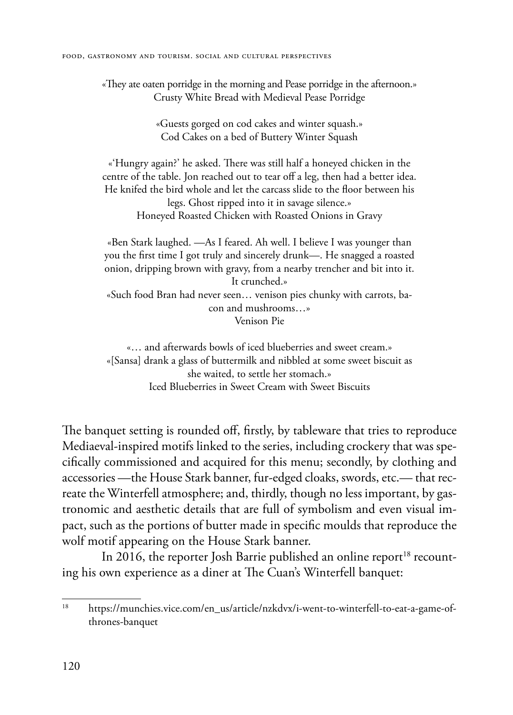«They ate oaten porridge in the morning and Pease porridge in the afternoon.» Crusty White Bread with Medieval Pease Porridge

> «Guests gorged on cod cakes and winter squash.» Cod Cakes on a bed of Buttery Winter Squash

«'Hungry again?' he asked. There was still half a honeyed chicken in the centre of the table. Jon reached out to tear off a leg, then had a better idea. He knifed the bird whole and let the carcass slide to the floor between his legs. Ghost ripped into it in savage silence.» Honeyed Roasted Chicken with Roasted Onions in Gravy

«Ben Stark laughed. —As I feared. Ah well. I believe I was younger than you the first time I got truly and sincerely drunk—. He snagged a roasted onion, dripping brown with gravy, from a nearby trencher and bit into it. It crunched.»

«Such food Bran had never seen… venison pies chunky with carrots, bacon and mushrooms…» Venison Pie

«… and afterwards bowls of iced blueberries and sweet cream.» «[Sansa] drank a glass of buttermilk and nibbled at some sweet biscuit as she waited, to settle her stomach.» Iced Blueberries in Sweet Cream with Sweet Biscuits

The banquet setting is rounded off, firstly, by tableware that tries to reproduce Mediaeval-inspired motifs linked to the series, including crockery that was specifically commissioned and acquired for this menu; secondly, by clothing and accessories —the House Stark banner, fur-edged cloaks, swords, etc.— that recreate the Winterfell atmosphere; and, thirdly, though no less important, by gastronomic and aesthetic details that are full of symbolism and even visual impact, such as the portions of butter made in specific moulds that reproduce the wolf motif appearing on the House Stark banner.

In 2016, the reporter Josh Barrie published an online report<sup>18</sup> recounting his own experience as a diner at The Cuan's Winterfell banquet:

<sup>18</sup> https://munchies.vice.com/en\_us/article/nzkdvx/i-went-to-winterfell-to-eat-a-game-ofthrones-banquet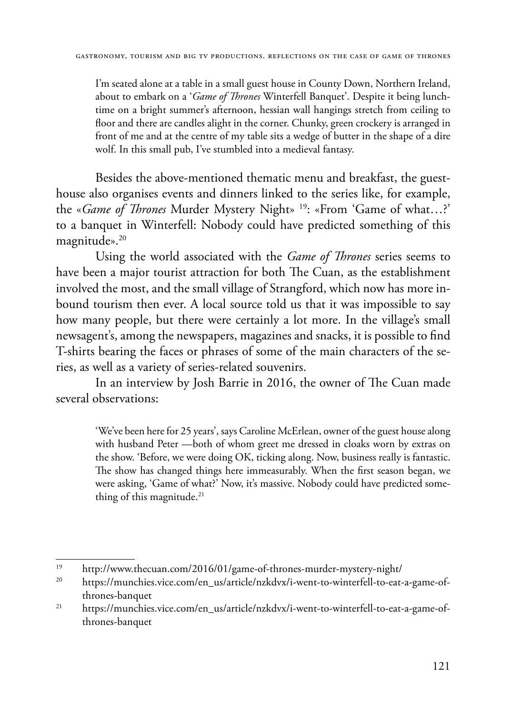I'm seated alone at a table in a small guest house in County Down, Northern Ireland, about to embark on a '*Game of Thrones* Winterfell Banquet'. Despite it being lunchtime on a bright summer's afternoon, hessian wall hangings stretch from ceiling to floor and there are candles alight in the corner. Chunky, green crockery is arranged in front of me and at the centre of my table sits a wedge of butter in the shape of a dire wolf. In this small pub, I've stumbled into a medieval fantasy.

Besides the above-mentioned thematic menu and breakfast, the guesthouse also organises events and dinners linked to the series like, for example, the «*Game of Thrones* Murder Mystery Night» 19: «From 'Game of what…?' to a banquet in Winterfell: Nobody could have predicted something of this magnitude».<sup>20</sup>

Using the world associated with the *Game of Thrones* series seems to have been a major tourist attraction for both The Cuan, as the establishment involved the most, and the small village of Strangford, which now has more inbound tourism then ever. A local source told us that it was impossible to say how many people, but there were certainly a lot more. In the village's small newsagent's, among the newspapers, magazines and snacks, it is possible to find T-shirts bearing the faces or phrases of some of the main characters of the series, as well as a variety of series-related souvenirs.

In an interview by Josh Barrie in 2016, the owner of The Cuan made several observations:

'We've been here for 25 years', says Caroline McErlean, owner of the guest house along with husband Peter —both of whom greet me dressed in cloaks worn by extras on the show. 'Before, we were doing OK, ticking along. Now, business really is fantastic. The show has changed things here immeasurably. When the first season began, we were asking, 'Game of what?' Now, it's massive. Nobody could have predicted something of this magnitude.<sup>21</sup>

 $19$  http://www.thecuan.com/2016/01/game-of-thrones-murder-mystery-night/<br> $19$  http://www.thecuan.com/an up/antialp/paladar/i wont to vinterfall to est.

<sup>20</sup> https://munchies.vice.com/en\_us/article/nzkdvx/i-went-to-winterfell-to-eat-a-game-ofthrones-banquet

<sup>21</sup> https://munchies.vice.com/en\_us/article/nzkdvx/i-went-to-winterfell-to-eat-a-game-ofthrones-banquet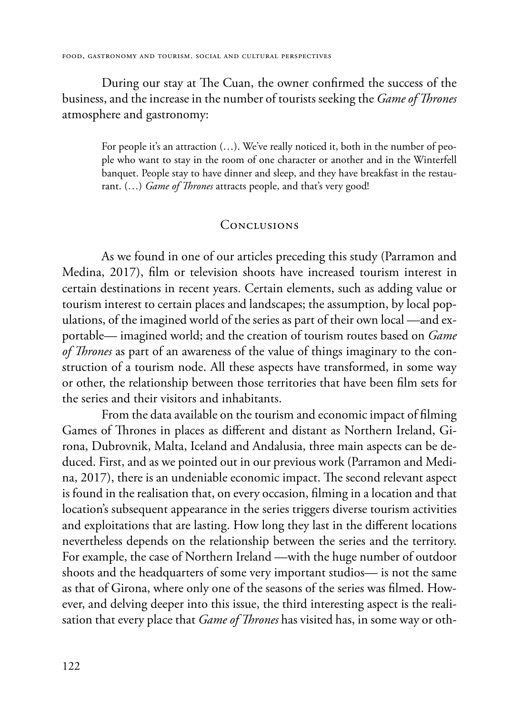During our stay at The Cuan, the owner confirmed the success of the business, and the increase in the number of tourists seeking the *Game of Thrones* atmosphere and gastronomy:

> For people it's an attraction  $(...)$ . We've really noticed it, both in the number of people who want to stay in the room of one character or another and in the Winterfell banquet. People stay to have dinner and sleep, and they have breakfast in the restaurant. (…) *Game of Thrones* attracts people, and that's very good!

#### **CONCLUSIONS**

As we found in one of our articles preceding this study (Parramon and Medina, 2017), film or television shoots have increased tourism interest in certain destinations in recent years. Certain elements, such as adding value or tourism interest to certain places and landscapes; the assumption, by local populations, of the imagined world of the series as part of their own local —and exportable— imagined world; and the creation of tourism routes based on *Game of Thrones* as part of an awareness of the value of things imaginary to the construction of a tourism node. All these aspects have transformed, in some way or other, the relationship between those territories that have been film sets for the series and their visitors and inhabitants.

From the data available on the tourism and economic impact of filming Games of Thrones in places as different and distant as Northern Ireland, Girona, Dubrovnik, Malta, Iceland and Andalusia, three main aspects can be deduced. First, and as we pointed out in our previous work (Parramon and Medina, 2017), there is an undeniable economic impact. The second relevant aspect is found in the realisation that, on every occasion, filming in a location and that location's subsequent appearance in the series triggers diverse tourism activities and exploitations that are lasting. How long they last in the different locations nevertheless depends on the relationship between the series and the territory. For example, the case of Northern Ireland —with the huge number of outdoor shoots and the headquarters of some very important studios— is not the same as that of Girona, where only one of the seasons of the series was filmed. However, and delving deeper into this issue, the third interesting aspect is the realisation that every place that *Game of Thrones* has visited has, in some way or oth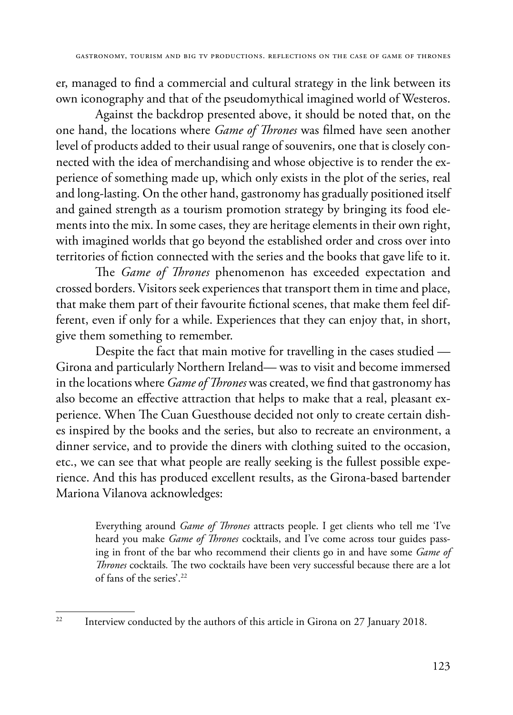er, managed to find a commercial and cultural strategy in the link between its own iconography and that of the pseudomythical imagined world of Westeros.

Against the backdrop presented above, it should be noted that, on the one hand, the locations where *Game of Thrones* was filmed have seen another level of products added to their usual range of souvenirs, one that is closely connected with the idea of merchandising and whose objective is to render the experience of something made up, which only exists in the plot of the series, real and long-lasting. On the other hand, gastronomy has gradually positioned itself and gained strength as a tourism promotion strategy by bringing its food elements into the mix. In some cases, they are heritage elements in their own right, with imagined worlds that go beyond the established order and cross over into territories of fiction connected with the series and the books that gave life to it.

The *Game of Thrones* phenomenon has exceeded expectation and crossed borders. Visitors seek experiences that transport them in time and place, that make them part of their favourite fictional scenes, that make them feel different, even if only for a while. Experiences that they can enjoy that, in short, give them something to remember.

Despite the fact that main motive for travelling in the cases studied — Girona and particularly Northern Ireland— was to visit and become immersed in the locations where *Game of Thrones* was created, we find that gastronomy has also become an effective attraction that helps to make that a real, pleasant experience. When The Cuan Guesthouse decided not only to create certain dishes inspired by the books and the series, but also to recreate an environment, a dinner service, and to provide the diners with clothing suited to the occasion, etc., we can see that what people are really seeking is the fullest possible experience. And this has produced excellent results, as the Girona-based bartender Mariona Vilanova acknowledges:

> Everything around *Game of Thrones* attracts people. I get clients who tell me 'I've heard you make *Game of Thrones* cocktails, and I've come across tour guides passing in front of the bar who recommend their clients go in and have some *Game of Thrones* cocktails*.* The two cocktails have been very successful because there are a lot of fans of the series'.22

<sup>&</sup>lt;sup>22</sup> Interview conducted by the authors of this article in Girona on 27 January 2018.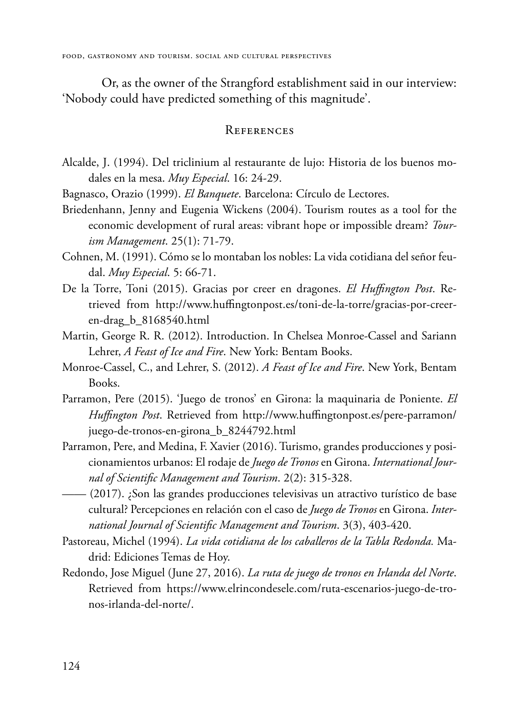Or, as the owner of the Strangford establishment said in our interview: 'Nobody could have predicted something of this magnitude'.

#### **REFERENCES**

- Alcalde, J. (1994). Del triclinium al restaurante de lujo: Historia de los buenos modales en la mesa. *Muy Especial*. 16: 24-29.
- Bagnasco, Orazio (1999). *El Banquete*. Barcelona: Círculo de Lectores.
- Briedenhann, Jenny and Eugenia Wickens (2004). Tourism routes as a tool for the economic development of rural areas: vibrant hope or impossible dream? *Tourism Management*. 25(1): 71-79.
- Cohnen, M. (1991). Cómo se lo montaban los nobles: La vida cotidiana del señor feudal. *Muy Especial*. 5: 66-71.
- De la Torre, Toni (2015). Gracias por creer en dragones. *El Huffington Post*. Retrieved from http://www.huffingtonpost.es/toni-de-la-torre/gracias-por-creeren-drag\_b\_8168540.html
- Martin, George R. R. (2012). Introduction. In Chelsea Monroe-Cassel and Sariann Lehrer, *A Feast of Ice and Fire*. New York: Bentam Books.
- Monroe-Cassel, C., and Lehrer, S. (2012). *A Feast of Ice and Fire*. New York, Bentam Books.
- Parramon, Pere (2015). 'Juego de tronos' en Girona: la maquinaria de Poniente. *El Huffington Post*. Retrieved from http://www.huffingtonpost.es/pere-parramon/ juego-de-tronos-en-girona\_b\_8244792.html
- Parramon, Pere, and Medina, F. Xavier (2016). Turismo, grandes producciones y posicionamientos urbanos: El rodaje de *Juego de Tronos* en Girona. *International Journal of Scientific Management and Tourism*. 2(2): 315-328.
- —— (2017). ¿Son las grandes producciones televisivas un atractivo turístico de base cultural? Percepciones en relación con el caso de *Juego de Tronos* en Girona. *International Journal of Scientific Management and Tourism*. 3(3), 403-420.
- Pastoreau, Michel (1994). *La vida cotidiana de los caballeros de la Tabla Redonda.* Madrid: Ediciones Temas de Hoy.
- Redondo, Jose Miguel (June 27, 2016). *La ruta de juego de tronos en Irlanda del Norte*. Retrieved from [https://www.elrincondesele.com/ruta-escenarios-juego-de-tro](https://www.elrincondesele.com/ruta-escenarios-juego-de-tronos-irlanda-del-norte/)[nos-irlanda-del-norte/](https://www.elrincondesele.com/ruta-escenarios-juego-de-tronos-irlanda-del-norte/).